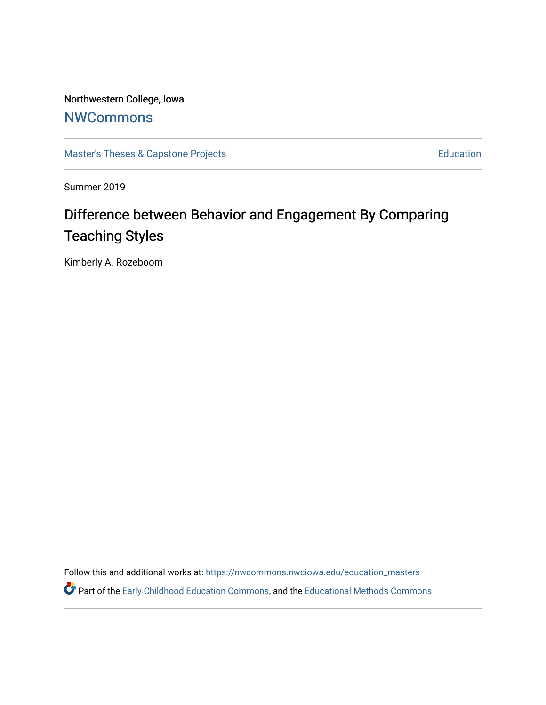Northwestern College, Iowa **[NWCommons](https://nwcommons.nwciowa.edu/)** 

[Master's Theses & Capstone Projects](https://nwcommons.nwciowa.edu/education_masters) **Education** Education

Summer 2019

# Difference between Behavior and Engagement By Comparing Teaching Styles

Kimberly A. Rozeboom

Follow this and additional works at: [https://nwcommons.nwciowa.edu/education\\_masters](https://nwcommons.nwciowa.edu/education_masters?utm_source=nwcommons.nwciowa.edu%2Feducation_masters%2F171&utm_medium=PDF&utm_campaign=PDFCoverPages)

Part of the [Early Childhood Education Commons,](http://network.bepress.com/hgg/discipline/1377?utm_source=nwcommons.nwciowa.edu%2Feducation_masters%2F171&utm_medium=PDF&utm_campaign=PDFCoverPages) and the [Educational Methods Commons](http://network.bepress.com/hgg/discipline/1227?utm_source=nwcommons.nwciowa.edu%2Feducation_masters%2F171&utm_medium=PDF&utm_campaign=PDFCoverPages)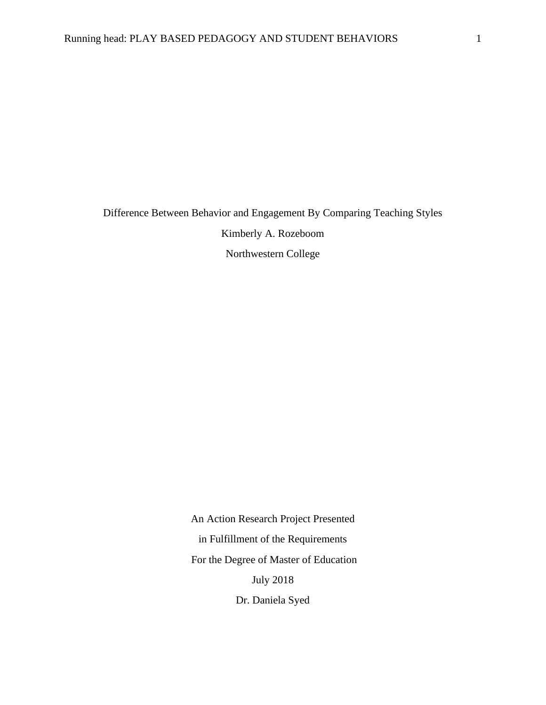Difference Between Behavior and Engagement By Comparing Teaching Styles Kimberly A. Rozeboom Northwestern College

> An Action Research Project Presented in Fulfillment of the Requirements For the Degree of Master of Education July 2018

Dr. Daniela Syed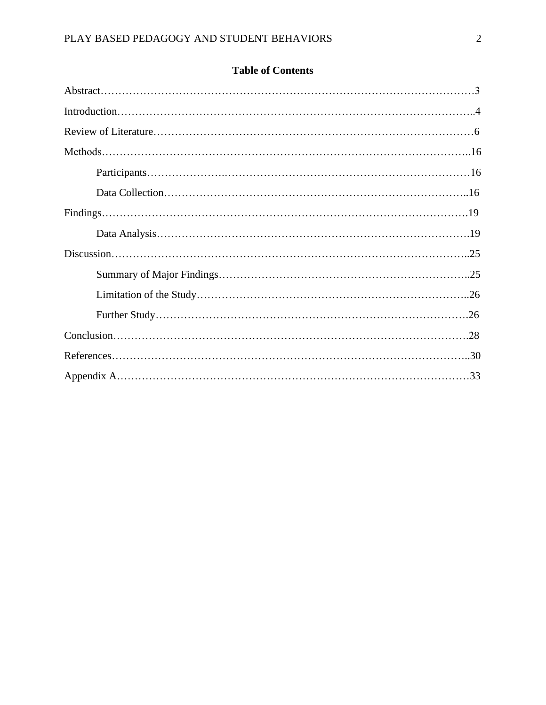| <b>Table of Contents</b> |  |
|--------------------------|--|
|--------------------------|--|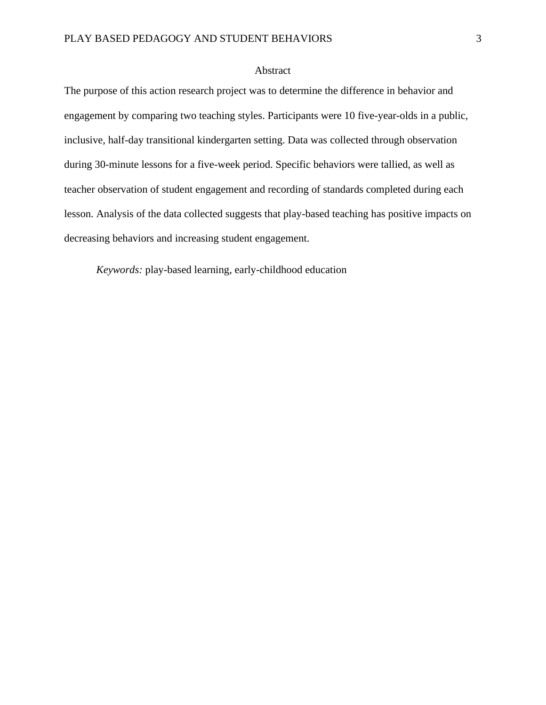## Abstract

The purpose of this action research project was to determine the difference in behavior and engagement by comparing two teaching styles. Participants were 10 five-year-olds in a public, inclusive, half-day transitional kindergarten setting. Data was collected through observation during 30-minute lessons for a five-week period. Specific behaviors were tallied, as well as teacher observation of student engagement and recording of standards completed during each lesson. Analysis of the data collected suggests that play-based teaching has positive impacts on decreasing behaviors and increasing student engagement.

*Keywords:* play-based learning, early-childhood education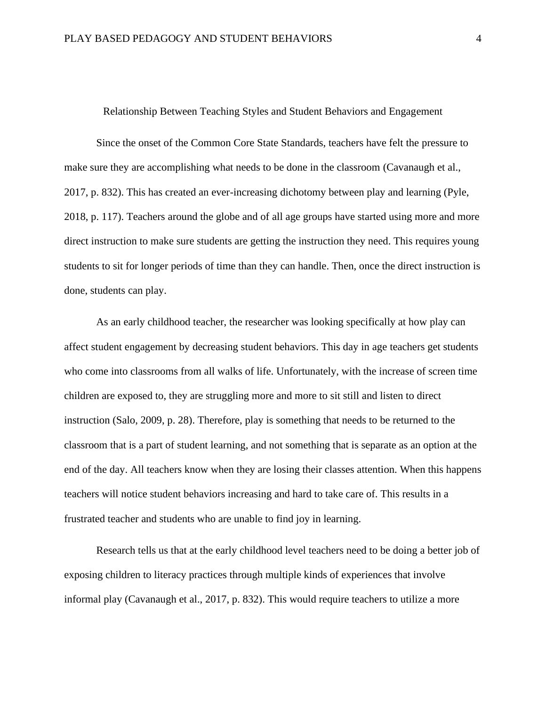#### Relationship Between Teaching Styles and Student Behaviors and Engagement

Since the onset of the Common Core State Standards, teachers have felt the pressure to make sure they are accomplishing what needs to be done in the classroom (Cavanaugh et al., 2017, p. 832). This has created an ever-increasing dichotomy between play and learning (Pyle, 2018, p. 117). Teachers around the globe and of all age groups have started using more and more direct instruction to make sure students are getting the instruction they need. This requires young students to sit for longer periods of time than they can handle. Then, once the direct instruction is done, students can play.

As an early childhood teacher, the researcher was looking specifically at how play can affect student engagement by decreasing student behaviors. This day in age teachers get students who come into classrooms from all walks of life. Unfortunately, with the increase of screen time children are exposed to, they are struggling more and more to sit still and listen to direct instruction (Salo, 2009, p. 28). Therefore, play is something that needs to be returned to the classroom that is a part of student learning, and not something that is separate as an option at the end of the day. All teachers know when they are losing their classes attention. When this happens teachers will notice student behaviors increasing and hard to take care of. This results in a frustrated teacher and students who are unable to find joy in learning.

Research tells us that at the early childhood level teachers need to be doing a better job of exposing children to literacy practices through multiple kinds of experiences that involve informal play (Cavanaugh et al., 2017, p. 832). This would require teachers to utilize a more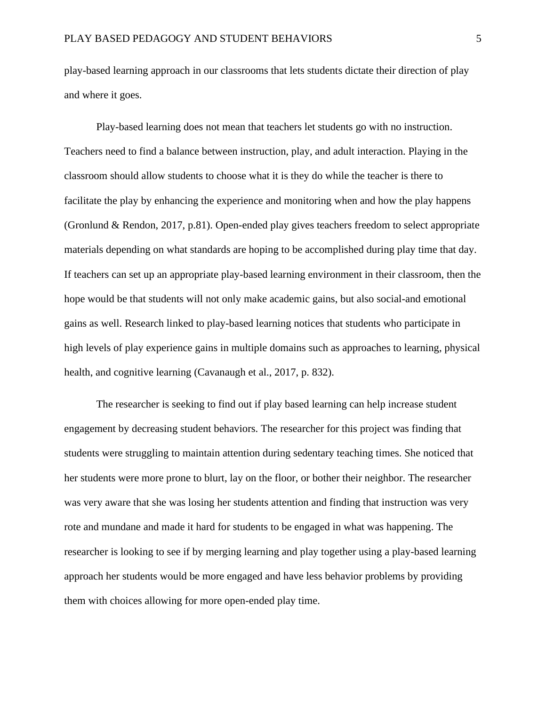play-based learning approach in our classrooms that lets students dictate their direction of play and where it goes.

Play-based learning does not mean that teachers let students go with no instruction. Teachers need to find a balance between instruction, play, and adult interaction. Playing in the classroom should allow students to choose what it is they do while the teacher is there to facilitate the play by enhancing the experience and monitoring when and how the play happens (Gronlund & Rendon, 2017, p.81). Open-ended play gives teachers freedom to select appropriate materials depending on what standards are hoping to be accomplished during play time that day. If teachers can set up an appropriate play-based learning environment in their classroom, then the hope would be that students will not only make academic gains, but also social-and emotional gains as well. Research linked to play-based learning notices that students who participate in high levels of play experience gains in multiple domains such as approaches to learning, physical health, and cognitive learning (Cavanaugh et al., 2017, p. 832).

The researcher is seeking to find out if play based learning can help increase student engagement by decreasing student behaviors. The researcher for this project was finding that students were struggling to maintain attention during sedentary teaching times. She noticed that her students were more prone to blurt, lay on the floor, or bother their neighbor. The researcher was very aware that she was losing her students attention and finding that instruction was very rote and mundane and made it hard for students to be engaged in what was happening. The researcher is looking to see if by merging learning and play together using a play-based learning approach her students would be more engaged and have less behavior problems by providing them with choices allowing for more open-ended play time.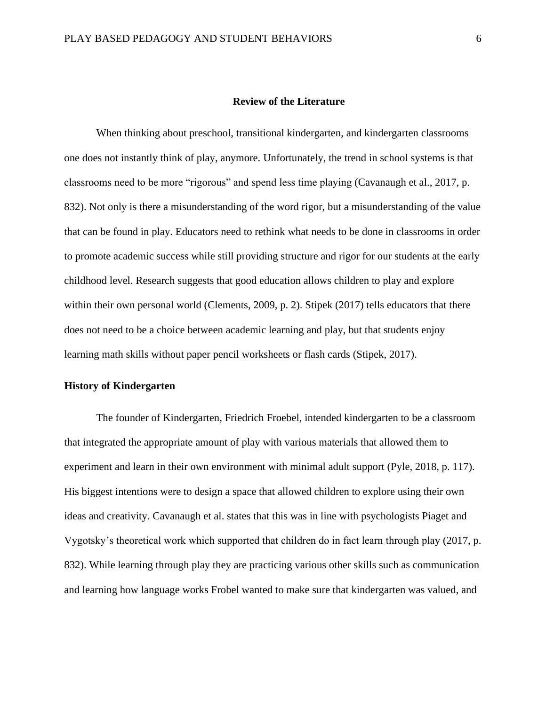#### **Review of the Literature**

When thinking about preschool, transitional kindergarten, and kindergarten classrooms one does not instantly think of play, anymore. Unfortunately, the trend in school systems is that classrooms need to be more "rigorous" and spend less time playing (Cavanaugh et al., 2017, p. 832). Not only is there a misunderstanding of the word rigor, but a misunderstanding of the value that can be found in play. Educators need to rethink what needs to be done in classrooms in order to promote academic success while still providing structure and rigor for our students at the early childhood level. Research suggests that good education allows children to play and explore within their own personal world (Clements, 2009, p. 2). Stipek (2017) tells educators that there does not need to be a choice between academic learning and play, but that students enjoy learning math skills without paper pencil worksheets or flash cards (Stipek, 2017).

## **History of Kindergarten**

The founder of Kindergarten, Friedrich Froebel, intended kindergarten to be a classroom that integrated the appropriate amount of play with various materials that allowed them to experiment and learn in their own environment with minimal adult support (Pyle, 2018, p. 117). His biggest intentions were to design a space that allowed children to explore using their own ideas and creativity. Cavanaugh et al. states that this was in line with psychologists Piaget and Vygotsky's theoretical work which supported that children do in fact learn through play (2017, p. 832). While learning through play they are practicing various other skills such as communication and learning how language works Frobel wanted to make sure that kindergarten was valued, and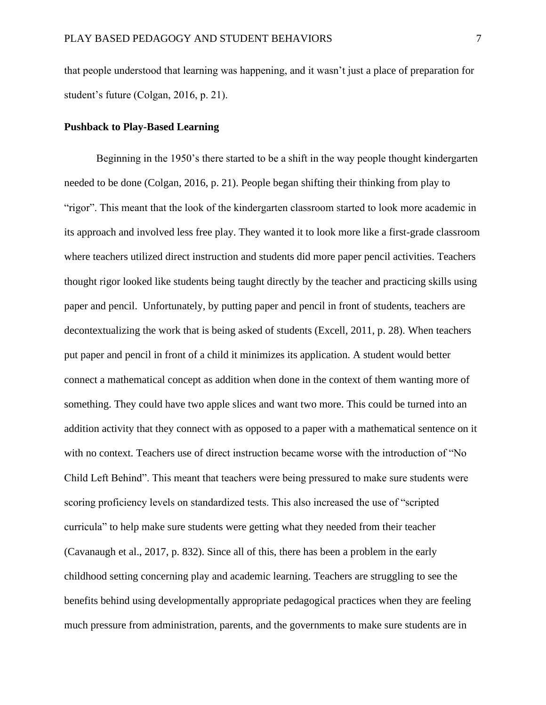that people understood that learning was happening, and it wasn't just a place of preparation for student's future (Colgan, 2016, p. 21).

#### **Pushback to Play-Based Learning**

Beginning in the 1950's there started to be a shift in the way people thought kindergarten needed to be done (Colgan, 2016, p. 21). People began shifting their thinking from play to "rigor". This meant that the look of the kindergarten classroom started to look more academic in its approach and involved less free play. They wanted it to look more like a first-grade classroom where teachers utilized direct instruction and students did more paper pencil activities. Teachers thought rigor looked like students being taught directly by the teacher and practicing skills using paper and pencil. Unfortunately, by putting paper and pencil in front of students, teachers are decontextualizing the work that is being asked of students (Excell, 2011, p. 28). When teachers put paper and pencil in front of a child it minimizes its application. A student would better connect a mathematical concept as addition when done in the context of them wanting more of something. They could have two apple slices and want two more. This could be turned into an addition activity that they connect with as opposed to a paper with a mathematical sentence on it with no context. Teachers use of direct instruction became worse with the introduction of "No Child Left Behind". This meant that teachers were being pressured to make sure students were scoring proficiency levels on standardized tests. This also increased the use of "scripted curricula" to help make sure students were getting what they needed from their teacher (Cavanaugh et al., 2017, p. 832). Since all of this, there has been a problem in the early childhood setting concerning play and academic learning. Teachers are struggling to see the benefits behind using developmentally appropriate pedagogical practices when they are feeling much pressure from administration, parents, and the governments to make sure students are in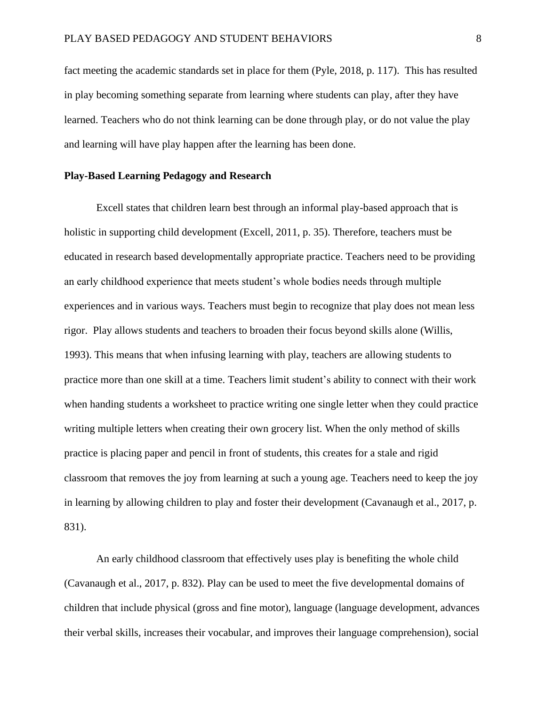fact meeting the academic standards set in place for them (Pyle, 2018, p. 117). This has resulted in play becoming something separate from learning where students can play, after they have learned. Teachers who do not think learning can be done through play, or do not value the play and learning will have play happen after the learning has been done.

## **Play-Based Learning Pedagogy and Research**

Excell states that children learn best through an informal play-based approach that is holistic in supporting child development (Excell, 2011, p. 35). Therefore, teachers must be educated in research based developmentally appropriate practice. Teachers need to be providing an early childhood experience that meets student's whole bodies needs through multiple experiences and in various ways. Teachers must begin to recognize that play does not mean less rigor. Play allows students and teachers to broaden their focus beyond skills alone (Willis, 1993). This means that when infusing learning with play, teachers are allowing students to practice more than one skill at a time. Teachers limit student's ability to connect with their work when handing students a worksheet to practice writing one single letter when they could practice writing multiple letters when creating their own grocery list. When the only method of skills practice is placing paper and pencil in front of students, this creates for a stale and rigid classroom that removes the joy from learning at such a young age. Teachers need to keep the joy in learning by allowing children to play and foster their development (Cavanaugh et al., 2017, p. 831).

An early childhood classroom that effectively uses play is benefiting the whole child (Cavanaugh et al., 2017, p. 832). Play can be used to meet the five developmental domains of children that include physical (gross and fine motor), language (language development, advances their verbal skills, increases their vocabular, and improves their language comprehension), social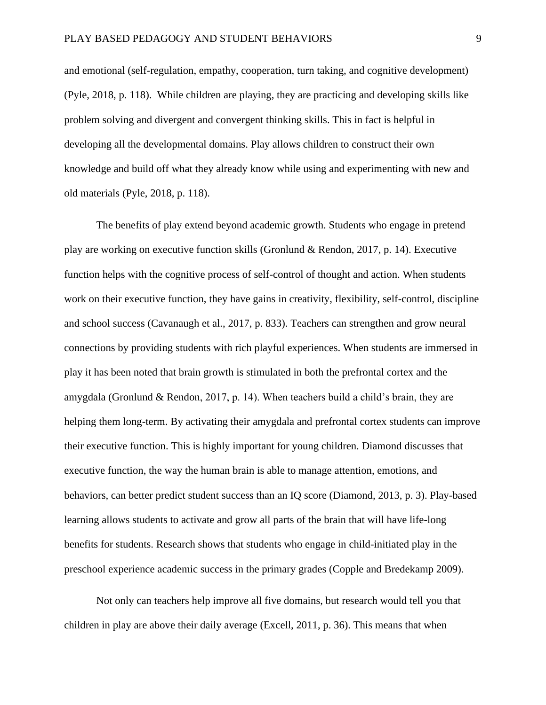and emotional (self-regulation, empathy, cooperation, turn taking, and cognitive development) (Pyle, 2018, p. 118). While children are playing, they are practicing and developing skills like problem solving and divergent and convergent thinking skills. This in fact is helpful in developing all the developmental domains. Play allows children to construct their own knowledge and build off what they already know while using and experimenting with new and old materials (Pyle, 2018, p. 118).

The benefits of play extend beyond academic growth. Students who engage in pretend play are working on executive function skills (Gronlund & Rendon, 2017, p. 14). Executive function helps with the cognitive process of self-control of thought and action. When students work on their executive function, they have gains in creativity, flexibility, self-control, discipline and school success (Cavanaugh et al., 2017, p. 833). Teachers can strengthen and grow neural connections by providing students with rich playful experiences. When students are immersed in play it has been noted that brain growth is stimulated in both the prefrontal cortex and the amygdala (Gronlund & Rendon, 2017, p. 14). When teachers build a child's brain, they are helping them long-term. By activating their amygdala and prefrontal cortex students can improve their executive function. This is highly important for young children. Diamond discusses that executive function, the way the human brain is able to manage attention, emotions, and behaviors, can better predict student success than an IQ score (Diamond, 2013, p. 3). Play-based learning allows students to activate and grow all parts of the brain that will have life-long benefits for students. Research shows that students who engage in child-initiated play in the preschool experience academic success in the primary grades (Copple and Bredekamp 2009).

Not only can teachers help improve all five domains, but research would tell you that children in play are above their daily average (Excell, 2011, p. 36). This means that when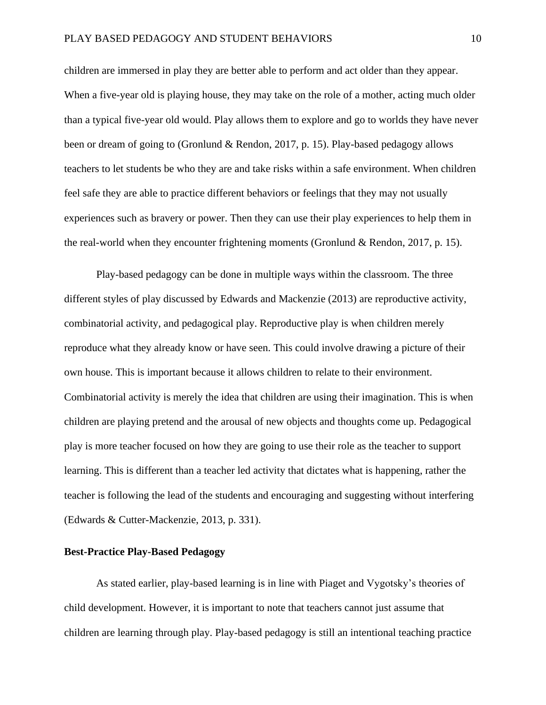children are immersed in play they are better able to perform and act older than they appear. When a five-year old is playing house, they may take on the role of a mother, acting much older than a typical five-year old would. Play allows them to explore and go to worlds they have never been or dream of going to (Gronlund & Rendon, 2017, p. 15). Play-based pedagogy allows teachers to let students be who they are and take risks within a safe environment. When children feel safe they are able to practice different behaviors or feelings that they may not usually experiences such as bravery or power. Then they can use their play experiences to help them in the real-world when they encounter frightening moments (Gronlund & Rendon, 2017, p. 15).

Play-based pedagogy can be done in multiple ways within the classroom. The three different styles of play discussed by Edwards and Mackenzie (2013) are reproductive activity, combinatorial activity, and pedagogical play. Reproductive play is when children merely reproduce what they already know or have seen. This could involve drawing a picture of their own house. This is important because it allows children to relate to their environment. Combinatorial activity is merely the idea that children are using their imagination. This is when children are playing pretend and the arousal of new objects and thoughts come up. Pedagogical play is more teacher focused on how they are going to use their role as the teacher to support learning. This is different than a teacher led activity that dictates what is happening, rather the teacher is following the lead of the students and encouraging and suggesting without interfering (Edwards & Cutter-Mackenzie, 2013, p. 331).

#### **Best-Practice Play-Based Pedagogy**

As stated earlier, play-based learning is in line with Piaget and Vygotsky's theories of child development. However, it is important to note that teachers cannot just assume that children are learning through play. Play-based pedagogy is still an intentional teaching practice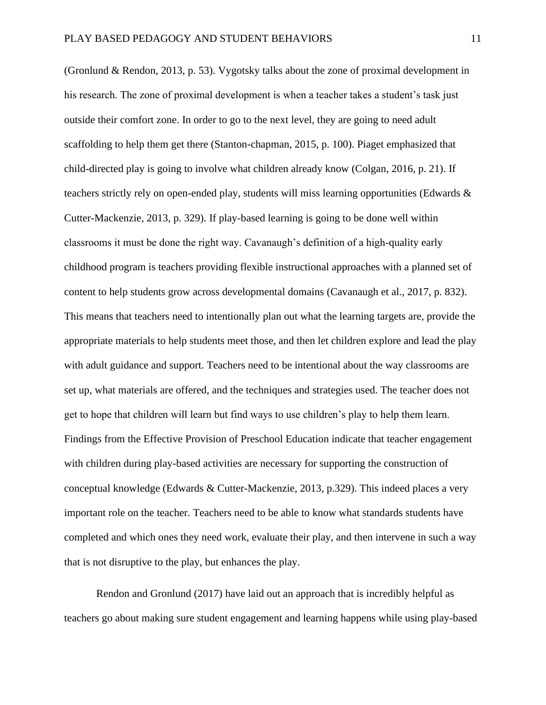(Gronlund & Rendon, 2013, p. 53). Vygotsky talks about the zone of proximal development in his research. The zone of proximal development is when a teacher takes a student's task just outside their comfort zone. In order to go to the next level, they are going to need adult scaffolding to help them get there (Stanton-chapman, 2015, p. 100). Piaget emphasized that child-directed play is going to involve what children already know (Colgan, 2016, p. 21). If teachers strictly rely on open-ended play, students will miss learning opportunities (Edwards & Cutter-Mackenzie, 2013, p. 329). If play-based learning is going to be done well within classrooms it must be done the right way. Cavanaugh's definition of a high-quality early childhood program is teachers providing flexible instructional approaches with a planned set of content to help students grow across developmental domains (Cavanaugh et al., 2017, p. 832). This means that teachers need to intentionally plan out what the learning targets are, provide the appropriate materials to help students meet those, and then let children explore and lead the play with adult guidance and support. Teachers need to be intentional about the way classrooms are set up, what materials are offered, and the techniques and strategies used. The teacher does not get to hope that children will learn but find ways to use children's play to help them learn. Findings from the Effective Provision of Preschool Education indicate that teacher engagement with children during play-based activities are necessary for supporting the construction of conceptual knowledge (Edwards & Cutter-Mackenzie, 2013, p.329). This indeed places a very important role on the teacher. Teachers need to be able to know what standards students have completed and which ones they need work, evaluate their play, and then intervene in such a way that is not disruptive to the play, but enhances the play.

Rendon and Gronlund (2017) have laid out an approach that is incredibly helpful as teachers go about making sure student engagement and learning happens while using play-based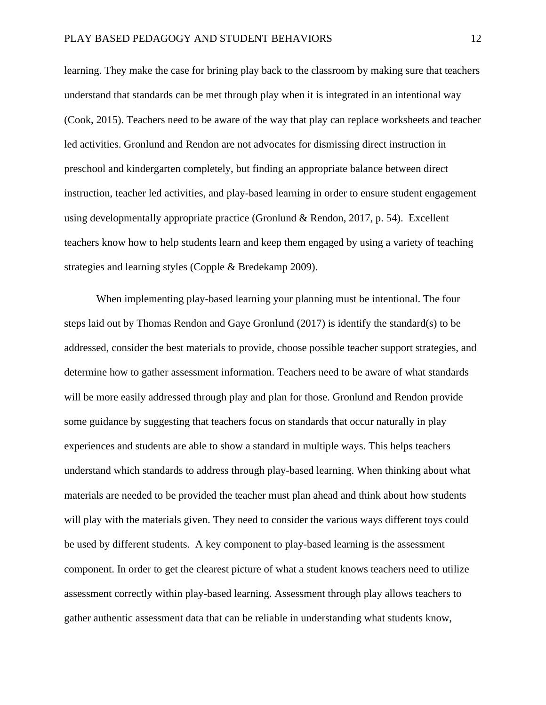learning. They make the case for brining play back to the classroom by making sure that teachers understand that standards can be met through play when it is integrated in an intentional way (Cook, 2015). Teachers need to be aware of the way that play can replace worksheets and teacher led activities. Gronlund and Rendon are not advocates for dismissing direct instruction in preschool and kindergarten completely, but finding an appropriate balance between direct instruction, teacher led activities, and play-based learning in order to ensure student engagement using developmentally appropriate practice (Gronlund & Rendon, 2017, p. 54). Excellent teachers know how to help students learn and keep them engaged by using a variety of teaching strategies and learning styles (Copple & Bredekamp 2009).

When implementing play-based learning your planning must be intentional. The four steps laid out by Thomas Rendon and Gaye Gronlund (2017) is identify the standard(s) to be addressed, consider the best materials to provide, choose possible teacher support strategies, and determine how to gather assessment information. Teachers need to be aware of what standards will be more easily addressed through play and plan for those. Gronlund and Rendon provide some guidance by suggesting that teachers focus on standards that occur naturally in play experiences and students are able to show a standard in multiple ways. This helps teachers understand which standards to address through play-based learning. When thinking about what materials are needed to be provided the teacher must plan ahead and think about how students will play with the materials given. They need to consider the various ways different toys could be used by different students. A key component to play-based learning is the assessment component. In order to get the clearest picture of what a student knows teachers need to utilize assessment correctly within play-based learning. Assessment through play allows teachers to gather authentic assessment data that can be reliable in understanding what students know,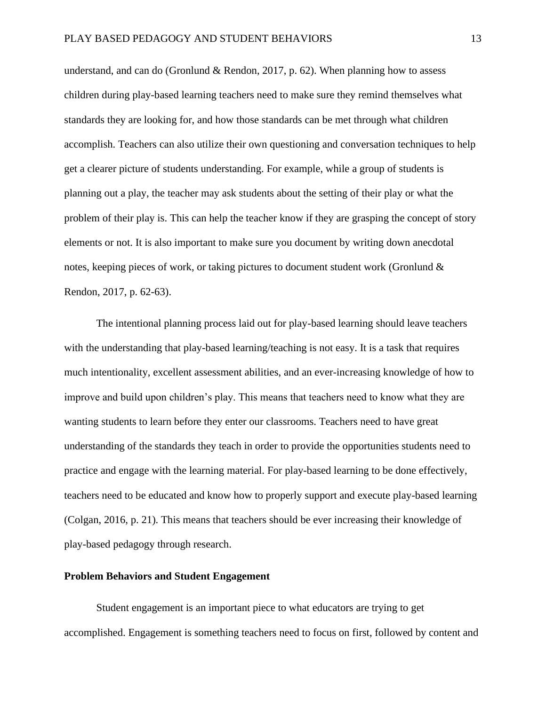understand, and can do (Gronlund & Rendon, 2017, p. 62). When planning how to assess children during play-based learning teachers need to make sure they remind themselves what standards they are looking for, and how those standards can be met through what children accomplish. Teachers can also utilize their own questioning and conversation techniques to help get a clearer picture of students understanding. For example, while a group of students is planning out a play, the teacher may ask students about the setting of their play or what the problem of their play is. This can help the teacher know if they are grasping the concept of story elements or not. It is also important to make sure you document by writing down anecdotal notes, keeping pieces of work, or taking pictures to document student work (Gronlund & Rendon, 2017, p. 62-63).

The intentional planning process laid out for play-based learning should leave teachers with the understanding that play-based learning/teaching is not easy. It is a task that requires much intentionality, excellent assessment abilities, and an ever-increasing knowledge of how to improve and build upon children's play. This means that teachers need to know what they are wanting students to learn before they enter our classrooms. Teachers need to have great understanding of the standards they teach in order to provide the opportunities students need to practice and engage with the learning material. For play-based learning to be done effectively, teachers need to be educated and know how to properly support and execute play-based learning (Colgan, 2016, p. 21). This means that teachers should be ever increasing their knowledge of play-based pedagogy through research.

#### **Problem Behaviors and Student Engagement**

Student engagement is an important piece to what educators are trying to get accomplished. Engagement is something teachers need to focus on first, followed by content and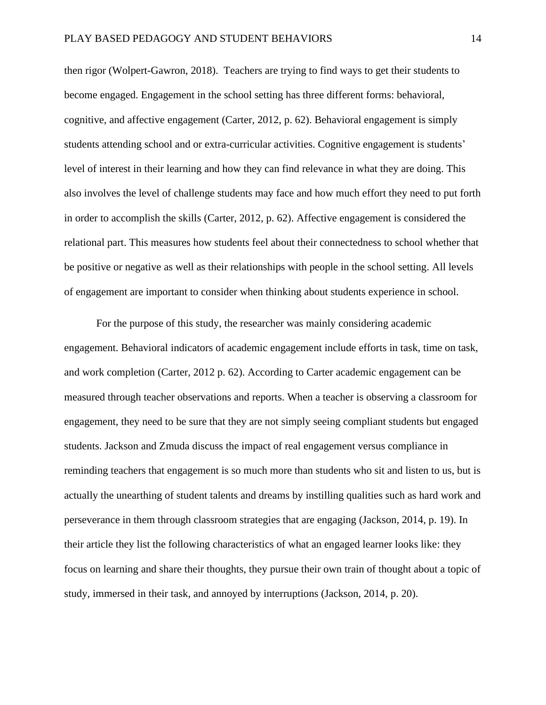then rigor (Wolpert-Gawron, 2018). Teachers are trying to find ways to get their students to become engaged. Engagement in the school setting has three different forms: behavioral, cognitive, and affective engagement (Carter, 2012, p. 62). Behavioral engagement is simply students attending school and or extra-curricular activities. Cognitive engagement is students' level of interest in their learning and how they can find relevance in what they are doing. This also involves the level of challenge students may face and how much effort they need to put forth in order to accomplish the skills (Carter, 2012, p. 62). Affective engagement is considered the relational part. This measures how students feel about their connectedness to school whether that be positive or negative as well as their relationships with people in the school setting. All levels of engagement are important to consider when thinking about students experience in school.

For the purpose of this study, the researcher was mainly considering academic engagement. Behavioral indicators of academic engagement include efforts in task, time on task, and work completion (Carter, 2012 p. 62). According to Carter academic engagement can be measured through teacher observations and reports. When a teacher is observing a classroom for engagement, they need to be sure that they are not simply seeing compliant students but engaged students. Jackson and Zmuda discuss the impact of real engagement versus compliance in reminding teachers that engagement is so much more than students who sit and listen to us, but is actually the unearthing of student talents and dreams by instilling qualities such as hard work and perseverance in them through classroom strategies that are engaging (Jackson, 2014, p. 19). In their article they list the following characteristics of what an engaged learner looks like: they focus on learning and share their thoughts, they pursue their own train of thought about a topic of study, immersed in their task, and annoyed by interruptions (Jackson, 2014, p. 20).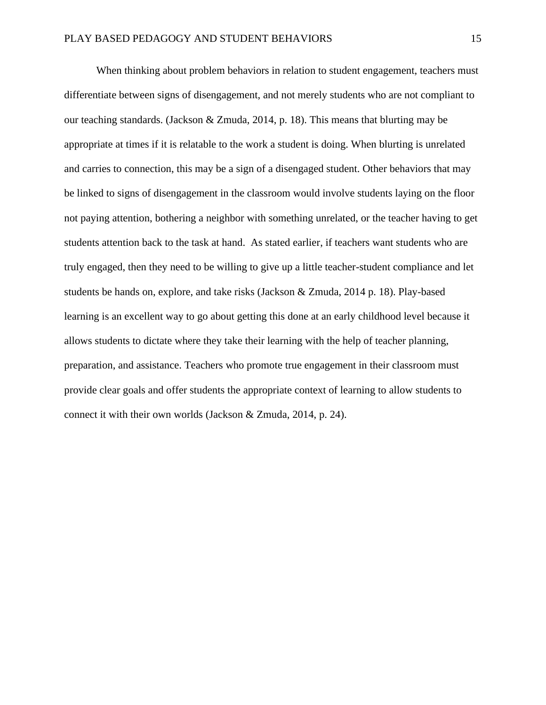When thinking about problem behaviors in relation to student engagement, teachers must differentiate between signs of disengagement, and not merely students who are not compliant to our teaching standards. (Jackson & Zmuda, 2014, p. 18). This means that blurting may be appropriate at times if it is relatable to the work a student is doing. When blurting is unrelated and carries to connection, this may be a sign of a disengaged student. Other behaviors that may be linked to signs of disengagement in the classroom would involve students laying on the floor not paying attention, bothering a neighbor with something unrelated, or the teacher having to get students attention back to the task at hand. As stated earlier, if teachers want students who are truly engaged, then they need to be willing to give up a little teacher-student compliance and let students be hands on, explore, and take risks (Jackson & Zmuda, 2014 p. 18). Play-based learning is an excellent way to go about getting this done at an early childhood level because it allows students to dictate where they take their learning with the help of teacher planning, preparation, and assistance. Teachers who promote true engagement in their classroom must provide clear goals and offer students the appropriate context of learning to allow students to connect it with their own worlds (Jackson & Zmuda, 2014, p. 24).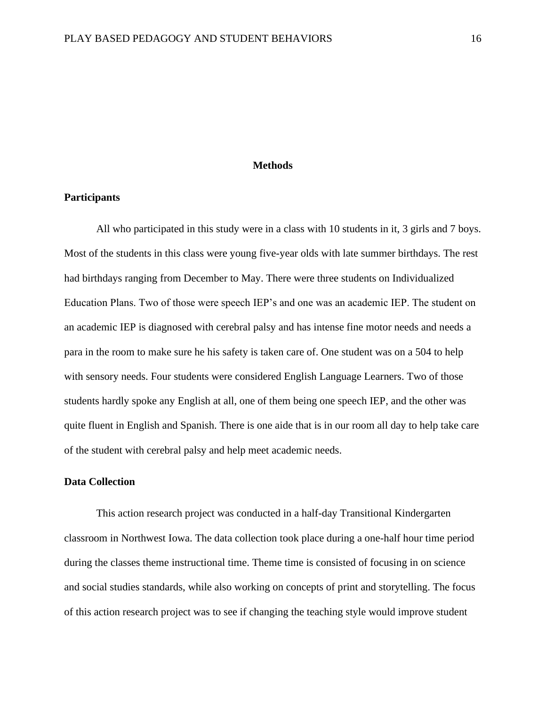#### **Methods**

#### **Participants**

All who participated in this study were in a class with 10 students in it, 3 girls and 7 boys. Most of the students in this class were young five-year olds with late summer birthdays. The rest had birthdays ranging from December to May. There were three students on Individualized Education Plans. Two of those were speech IEP's and one was an academic IEP. The student on an academic IEP is diagnosed with cerebral palsy and has intense fine motor needs and needs a para in the room to make sure he his safety is taken care of. One student was on a 504 to help with sensory needs. Four students were considered English Language Learners. Two of those students hardly spoke any English at all, one of them being one speech IEP, and the other was quite fluent in English and Spanish. There is one aide that is in our room all day to help take care of the student with cerebral palsy and help meet academic needs.

## **Data Collection**

This action research project was conducted in a half-day Transitional Kindergarten classroom in Northwest Iowa. The data collection took place during a one-half hour time period during the classes theme instructional time. Theme time is consisted of focusing in on science and social studies standards, while also working on concepts of print and storytelling. The focus of this action research project was to see if changing the teaching style would improve student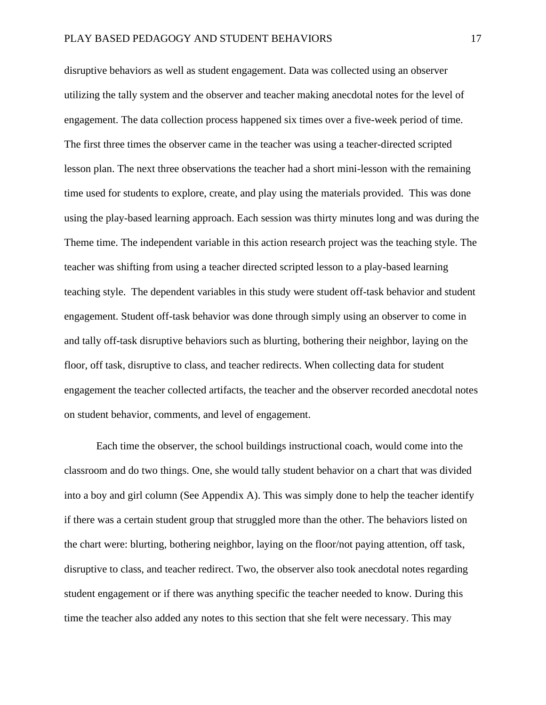disruptive behaviors as well as student engagement. Data was collected using an observer utilizing the tally system and the observer and teacher making anecdotal notes for the level of engagement. The data collection process happened six times over a five-week period of time. The first three times the observer came in the teacher was using a teacher-directed scripted lesson plan. The next three observations the teacher had a short mini-lesson with the remaining time used for students to explore, create, and play using the materials provided. This was done using the play-based learning approach. Each session was thirty minutes long and was during the Theme time. The independent variable in this action research project was the teaching style. The teacher was shifting from using a teacher directed scripted lesson to a play-based learning teaching style. The dependent variables in this study were student off-task behavior and student engagement. Student off-task behavior was done through simply using an observer to come in and tally off-task disruptive behaviors such as blurting, bothering their neighbor, laying on the floor, off task, disruptive to class, and teacher redirects. When collecting data for student engagement the teacher collected artifacts, the teacher and the observer recorded anecdotal notes on student behavior, comments, and level of engagement.

Each time the observer, the school buildings instructional coach, would come into the classroom and do two things. One, she would tally student behavior on a chart that was divided into a boy and girl column (See Appendix A). This was simply done to help the teacher identify if there was a certain student group that struggled more than the other. The behaviors listed on the chart were: blurting, bothering neighbor, laying on the floor/not paying attention, off task, disruptive to class, and teacher redirect. Two, the observer also took anecdotal notes regarding student engagement or if there was anything specific the teacher needed to know. During this time the teacher also added any notes to this section that she felt were necessary. This may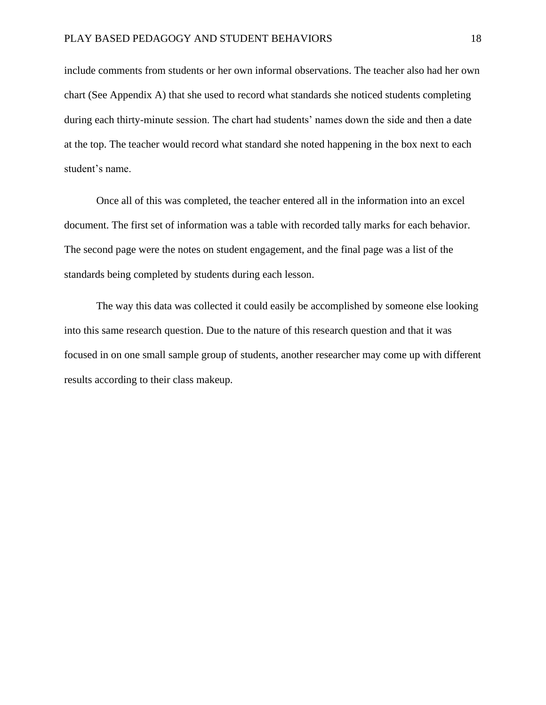include comments from students or her own informal observations. The teacher also had her own chart (See Appendix A) that she used to record what standards she noticed students completing during each thirty-minute session. The chart had students' names down the side and then a date at the top. The teacher would record what standard she noted happening in the box next to each student's name.

Once all of this was completed, the teacher entered all in the information into an excel document. The first set of information was a table with recorded tally marks for each behavior. The second page were the notes on student engagement, and the final page was a list of the standards being completed by students during each lesson.

The way this data was collected it could easily be accomplished by someone else looking into this same research question. Due to the nature of this research question and that it was focused in on one small sample group of students, another researcher may come up with different results according to their class makeup.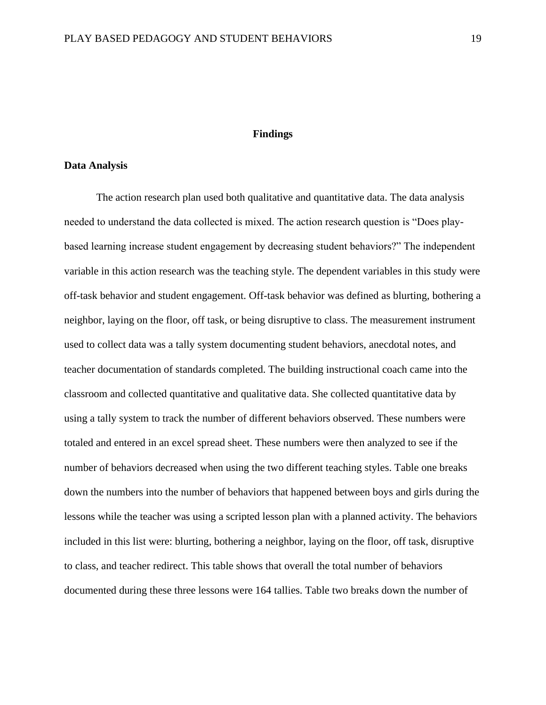#### **Findings**

#### **Data Analysis**

The action research plan used both qualitative and quantitative data. The data analysis needed to understand the data collected is mixed. The action research question is "Does playbased learning increase student engagement by decreasing student behaviors?" The independent variable in this action research was the teaching style. The dependent variables in this study were off-task behavior and student engagement. Off-task behavior was defined as blurting, bothering a neighbor, laying on the floor, off task, or being disruptive to class. The measurement instrument used to collect data was a tally system documenting student behaviors, anecdotal notes, and teacher documentation of standards completed. The building instructional coach came into the classroom and collected quantitative and qualitative data. She collected quantitative data by using a tally system to track the number of different behaviors observed. These numbers were totaled and entered in an excel spread sheet. These numbers were then analyzed to see if the number of behaviors decreased when using the two different teaching styles. Table one breaks down the numbers into the number of behaviors that happened between boys and girls during the lessons while the teacher was using a scripted lesson plan with a planned activity. The behaviors included in this list were: blurting, bothering a neighbor, laying on the floor, off task, disruptive to class, and teacher redirect. This table shows that overall the total number of behaviors documented during these three lessons were 164 tallies. Table two breaks down the number of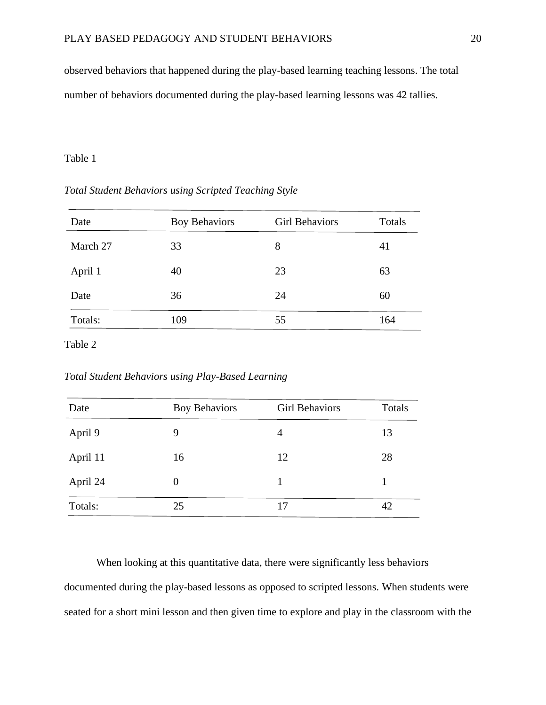observed behaviors that happened during the play-based learning teaching lessons. The total number of behaviors documented during the play-based learning lessons was 42 tallies.

## Table 1

## *Total Student Behaviors using Scripted Teaching Style*

| Date     | <b>Boy Behaviors</b> | <b>Girl Behaviors</b> | Totals |
|----------|----------------------|-----------------------|--------|
| March 27 | 33                   | 8                     | 41     |
| April 1  | 40                   | 23                    | 63     |
| Date     | 36                   | 24                    | 60     |
| Totals:  | 109                  | 55                    | 164    |

Table 2

*Total Student Behaviors using Play-Based Learning*

| Date     | <b>Boy Behaviors</b> | <b>Girl Behaviors</b> | Totals |
|----------|----------------------|-----------------------|--------|
| April 9  | 9                    | 4                     | 13     |
| April 11 | 16                   | 12                    | 28     |
| April 24 | 0                    |                       |        |
| Totals:  | 25                   | 17                    | 42     |

When looking at this quantitative data, there were significantly less behaviors documented during the play-based lessons as opposed to scripted lessons. When students were seated for a short mini lesson and then given time to explore and play in the classroom with the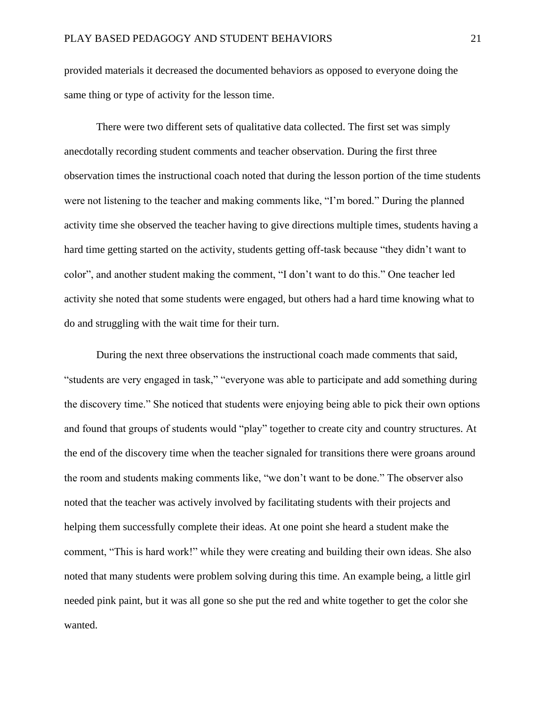provided materials it decreased the documented behaviors as opposed to everyone doing the same thing or type of activity for the lesson time.

There were two different sets of qualitative data collected. The first set was simply anecdotally recording student comments and teacher observation. During the first three observation times the instructional coach noted that during the lesson portion of the time students were not listening to the teacher and making comments like, "I'm bored." During the planned activity time she observed the teacher having to give directions multiple times, students having a hard time getting started on the activity, students getting off-task because "they didn't want to color", and another student making the comment, "I don't want to do this." One teacher led activity she noted that some students were engaged, but others had a hard time knowing what to do and struggling with the wait time for their turn.

During the next three observations the instructional coach made comments that said, "students are very engaged in task," "everyone was able to participate and add something during the discovery time." She noticed that students were enjoying being able to pick their own options and found that groups of students would "play" together to create city and country structures. At the end of the discovery time when the teacher signaled for transitions there were groans around the room and students making comments like, "we don't want to be done." The observer also noted that the teacher was actively involved by facilitating students with their projects and helping them successfully complete their ideas. At one point she heard a student make the comment, "This is hard work!" while they were creating and building their own ideas. She also noted that many students were problem solving during this time. An example being, a little girl needed pink paint, but it was all gone so she put the red and white together to get the color she wanted.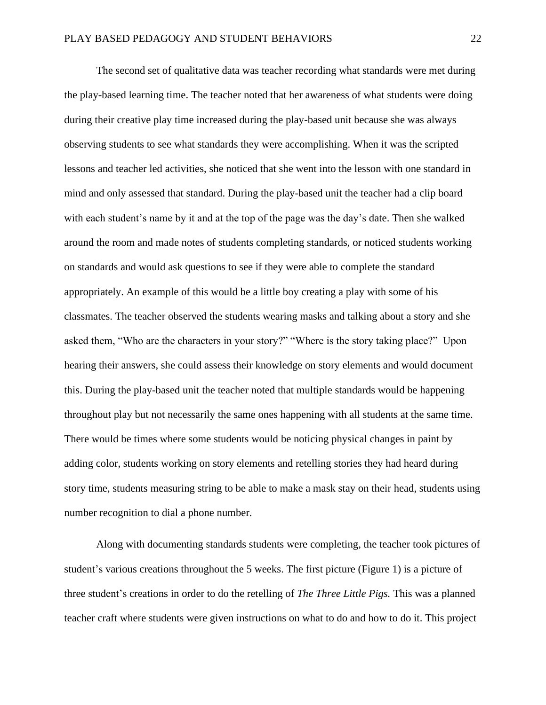The second set of qualitative data was teacher recording what standards were met during the play-based learning time. The teacher noted that her awareness of what students were doing during their creative play time increased during the play-based unit because she was always observing students to see what standards they were accomplishing. When it was the scripted lessons and teacher led activities, she noticed that she went into the lesson with one standard in mind and only assessed that standard. During the play-based unit the teacher had a clip board with each student's name by it and at the top of the page was the day's date. Then she walked around the room and made notes of students completing standards, or noticed students working on standards and would ask questions to see if they were able to complete the standard appropriately. An example of this would be a little boy creating a play with some of his classmates. The teacher observed the students wearing masks and talking about a story and she asked them, "Who are the characters in your story?" "Where is the story taking place?" Upon hearing their answers, she could assess their knowledge on story elements and would document this. During the play-based unit the teacher noted that multiple standards would be happening throughout play but not necessarily the same ones happening with all students at the same time. There would be times where some students would be noticing physical changes in paint by adding color, students working on story elements and retelling stories they had heard during story time, students measuring string to be able to make a mask stay on their head, students using number recognition to dial a phone number.

Along with documenting standards students were completing, the teacher took pictures of student's various creations throughout the 5 weeks. The first picture (Figure 1) is a picture of three student's creations in order to do the retelling of *The Three Little Pigs.* This was a planned teacher craft where students were given instructions on what to do and how to do it. This project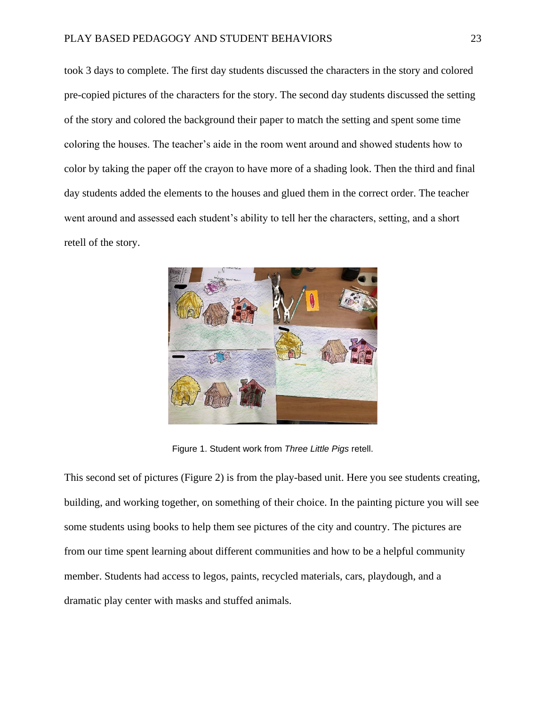took 3 days to complete. The first day students discussed the characters in the story and colored pre-copied pictures of the characters for the story. The second day students discussed the setting of the story and colored the background their paper to match the setting and spent some time coloring the houses. The teacher's aide in the room went around and showed students how to color by taking the paper off the crayon to have more of a shading look. Then the third and final day students added the elements to the houses and glued them in the correct order. The teacher went around and assessed each student's ability to tell her the characters, setting, and a short retell of the story.



Figure 1. Student work from *Three Little Pigs* retell.

This second set of pictures (Figure 2) is from the play-based unit. Here you see students creating, building, and working together, on something of their choice. In the painting picture you will see some students using books to help them see pictures of the city and country. The pictures are from our time spent learning about different communities and how to be a helpful community member. Students had access to legos, paints, recycled materials, cars, playdough, and a dramatic play center with masks and stuffed animals.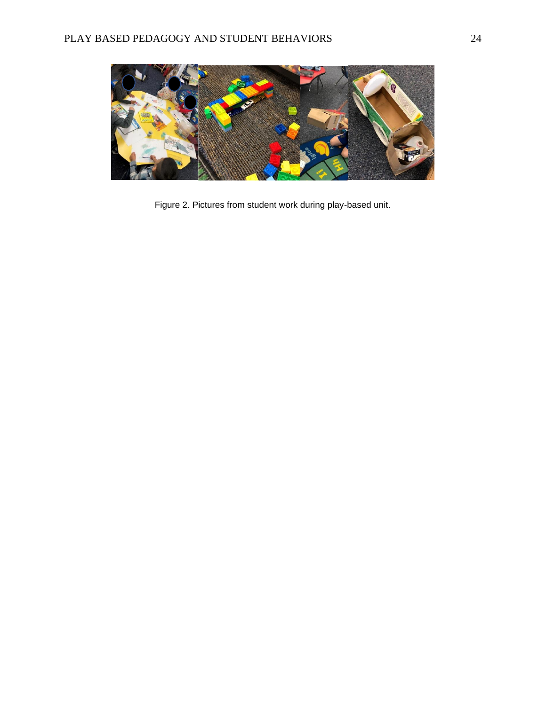

Figure 2. Pictures from student work during play-based unit.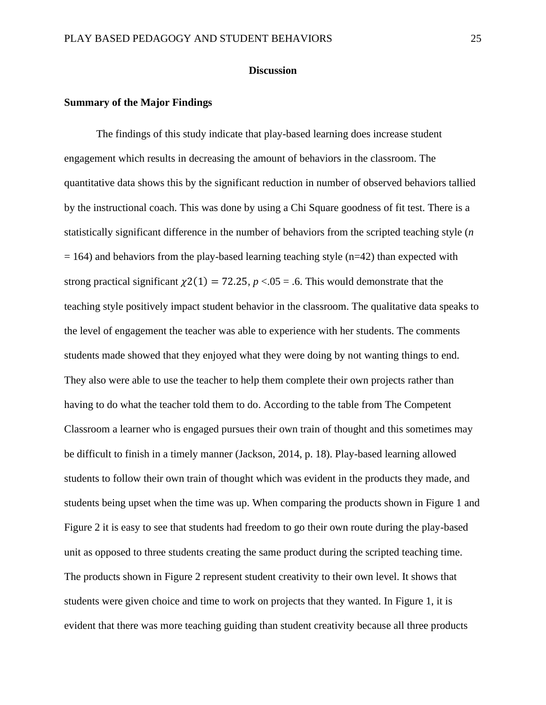#### **Discussion**

#### **Summary of the Major Findings**

The findings of this study indicate that play-based learning does increase student engagement which results in decreasing the amount of behaviors in the classroom. The quantitative data shows this by the significant reduction in number of observed behaviors tallied by the instructional coach. This was done by using a Chi Square goodness of fit test. There is a statistically significant difference in the number of behaviors from the scripted teaching style (*n*  $= 164$ ) and behaviors from the play-based learning teaching style (n=42) than expected with strong practical significant  $\chi^2(1) = 72.25$ ,  $p < 0.05 = 0.6$ . This would demonstrate that the teaching style positively impact student behavior in the classroom. The qualitative data speaks to the level of engagement the teacher was able to experience with her students. The comments students made showed that they enjoyed what they were doing by not wanting things to end. They also were able to use the teacher to help them complete their own projects rather than having to do what the teacher told them to do. According to the table from The Competent Classroom a learner who is engaged pursues their own train of thought and this sometimes may be difficult to finish in a timely manner (Jackson, 2014, p. 18). Play-based learning allowed students to follow their own train of thought which was evident in the products they made, and students being upset when the time was up. When comparing the products shown in Figure 1 and Figure 2 it is easy to see that students had freedom to go their own route during the play-based unit as opposed to three students creating the same product during the scripted teaching time. The products shown in Figure 2 represent student creativity to their own level. It shows that students were given choice and time to work on projects that they wanted. In Figure 1, it is evident that there was more teaching guiding than student creativity because all three products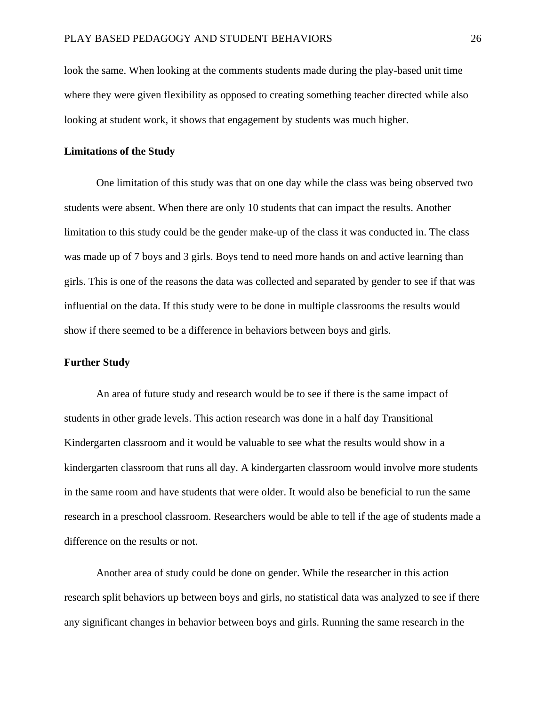look the same. When looking at the comments students made during the play-based unit time where they were given flexibility as opposed to creating something teacher directed while also looking at student work, it shows that engagement by students was much higher.

#### **Limitations of the Study**

One limitation of this study was that on one day while the class was being observed two students were absent. When there are only 10 students that can impact the results. Another limitation to this study could be the gender make-up of the class it was conducted in. The class was made up of 7 boys and 3 girls. Boys tend to need more hands on and active learning than girls. This is one of the reasons the data was collected and separated by gender to see if that was influential on the data. If this study were to be done in multiple classrooms the results would show if there seemed to be a difference in behaviors between boys and girls.

#### **Further Study**

An area of future study and research would be to see if there is the same impact of students in other grade levels. This action research was done in a half day Transitional Kindergarten classroom and it would be valuable to see what the results would show in a kindergarten classroom that runs all day. A kindergarten classroom would involve more students in the same room and have students that were older. It would also be beneficial to run the same research in a preschool classroom. Researchers would be able to tell if the age of students made a difference on the results or not.

Another area of study could be done on gender. While the researcher in this action research split behaviors up between boys and girls, no statistical data was analyzed to see if there any significant changes in behavior between boys and girls. Running the same research in the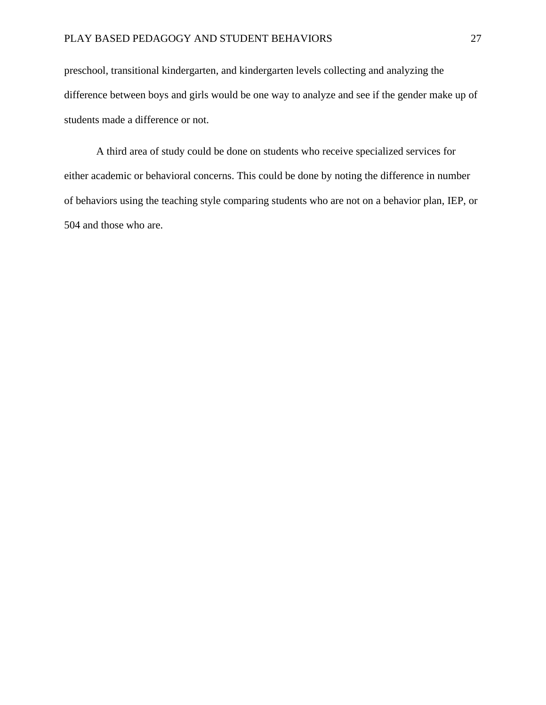preschool, transitional kindergarten, and kindergarten levels collecting and analyzing the difference between boys and girls would be one way to analyze and see if the gender make up of students made a difference or not.

A third area of study could be done on students who receive specialized services for either academic or behavioral concerns. This could be done by noting the difference in number of behaviors using the teaching style comparing students who are not on a behavior plan, IEP, or 504 and those who are.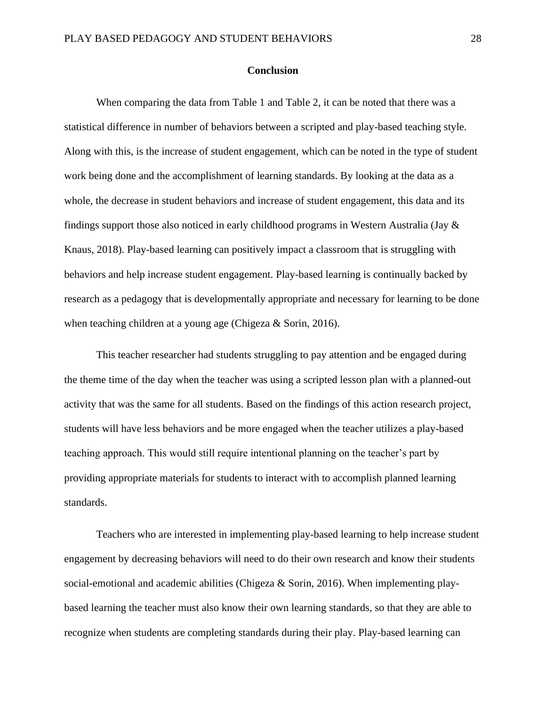#### **Conclusion**

When comparing the data from Table 1 and Table 2, it can be noted that there was a statistical difference in number of behaviors between a scripted and play-based teaching style. Along with this, is the increase of student engagement, which can be noted in the type of student work being done and the accomplishment of learning standards. By looking at the data as a whole, the decrease in student behaviors and increase of student engagement, this data and its findings support those also noticed in early childhood programs in Western Australia (Jay & Knaus, 2018). Play-based learning can positively impact a classroom that is struggling with behaviors and help increase student engagement. Play-based learning is continually backed by research as a pedagogy that is developmentally appropriate and necessary for learning to be done when teaching children at a young age (Chigeza & Sorin, 2016).

This teacher researcher had students struggling to pay attention and be engaged during the theme time of the day when the teacher was using a scripted lesson plan with a planned-out activity that was the same for all students. Based on the findings of this action research project, students will have less behaviors and be more engaged when the teacher utilizes a play-based teaching approach. This would still require intentional planning on the teacher's part by providing appropriate materials for students to interact with to accomplish planned learning standards.

Teachers who are interested in implementing play-based learning to help increase student engagement by decreasing behaviors will need to do their own research and know their students social-emotional and academic abilities (Chigeza & Sorin, 2016). When implementing playbased learning the teacher must also know their own learning standards, so that they are able to recognize when students are completing standards during their play. Play-based learning can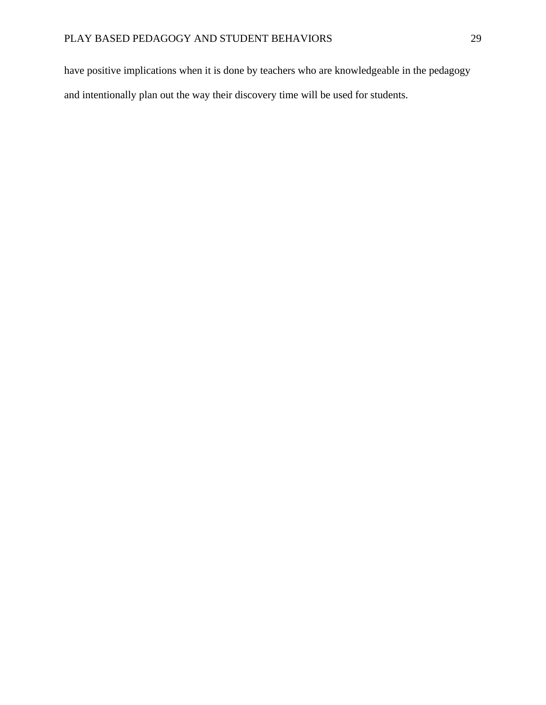have positive implications when it is done by teachers who are knowledgeable in the pedagogy and intentionally plan out the way their discovery time will be used for students.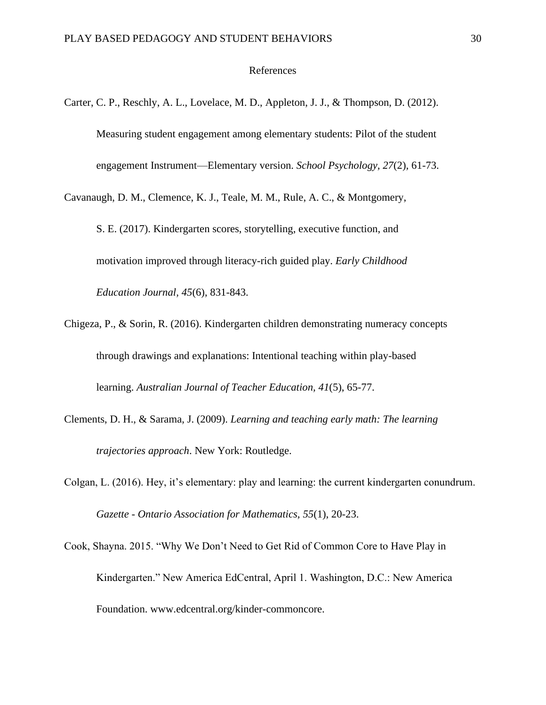#### References

Carter, C. P., Reschly, A. L., Lovelace, M. D., Appleton, J. J., & Thompson, D. (2012). Measuring student engagement among elementary students: Pilot of the student engagement Instrument—Elementary version. *School Psychology, 27*(2), 61-73.

Cavanaugh, D. M., Clemence, K. J., Teale, M. M., Rule, A. C., & Montgomery,

S. E. (2017). Kindergarten scores, storytelling, executive function, and motivation improved through literacy-rich guided play. *Early Childhood Education Journal, 45*(6), 831-843.

- Chigeza, P., & Sorin, R. (2016). Kindergarten children demonstrating numeracy concepts through drawings and explanations: Intentional teaching within play-based learning. *Australian Journal of Teacher Education, 41*(5), 65-77.
- Clements, D. H., & Sarama, J. (2009). *Learning and teaching early math: The learning trajectories approach*. New York: Routledge.
- Colgan, L. (2016). Hey, it's elementary: play and learning: the current kindergarten conundrum. *Gazette - Ontario Association for Mathematics, 55*(1), 20-23.

Cook, Shayna. 2015. "Why We Don't Need to Get Rid of Common Core to Have Play in Kindergarten." New America EdCentral, April 1. Washington, D.C.: New America Foundation. www.edcentral.org/kinder-commoncore.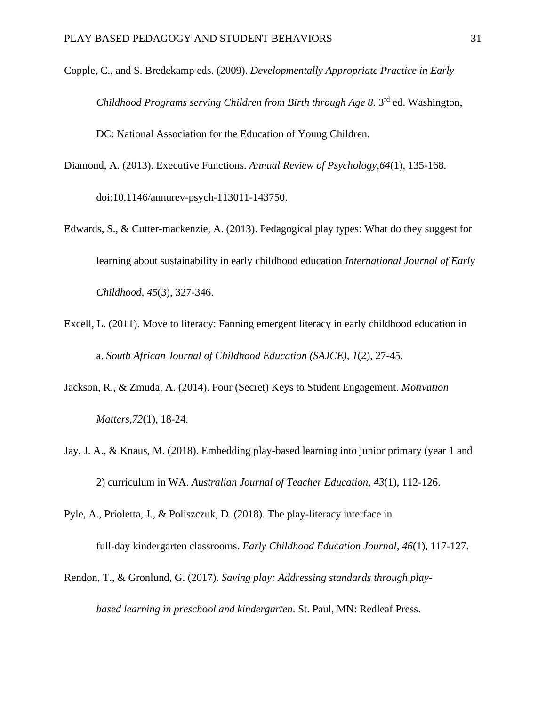- Copple, C., and S. Bredekamp eds. (2009). *Developmentally Appropriate Practice in Early* Childhood Programs serving Children from Birth through Age 8. 3<sup>rd</sup> ed. Washington, DC: National Association for the Education of Young Children.
- Diamond, A. (2013). Executive Functions. *Annual Review of Psychology,64*(1), 135-168. doi:10.1146/annurev-psych-113011-143750.
- Edwards, S., & Cutter-mackenzie, A. (2013). Pedagogical play types: What do they suggest for learning about sustainability in early childhood education *International Journal of Early Childhood, 45*(3), 327-346.
- Excell, L. (2011). Move to literacy: Fanning emergent literacy in early childhood education in a. *South African Journal of Childhood Education (SAJCE), 1*(2), 27-45.
- Jackson, R., & Zmuda, A. (2014). Four (Secret) Keys to Student Engagement. *Motivation Matters,72*(1), 18-24.
- Jay, J. A., & Knaus, M. (2018). Embedding play-based learning into junior primary (year 1 and 2) curriculum in WA. *Australian Journal of Teacher Education, 43*(1), 112-126.
- Pyle, A., Prioletta, J., & Poliszczuk, D. (2018). The play-literacy interface in

full-day kindergarten classrooms. *Early Childhood Education Journal, 46*(1), 117-127.

Rendon, T., & Gronlund, G. (2017). *Saving play: Addressing standards through playbased learning in preschool and kindergarten*. St. Paul, MN: Redleaf Press.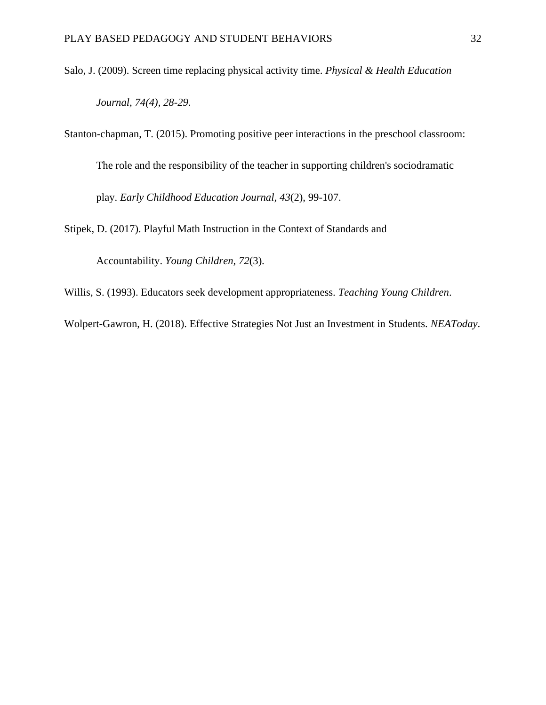- Salo, J. (2009). Screen time replacing physical activity time. *Physical & Health Education Journal, 74(4), 28-29.*
- Stanton-chapman, T. (2015). Promoting positive peer interactions in the preschool classroom: The role and the responsibility of the teacher in supporting children's sociodramatic play. *Early Childhood Education Journal, 43*(2), 99-107.

Stipek, D. (2017). Playful Math Instruction in the Context of Standards and

Accountability. *Young Children, 72*(3).

Willis, S. (1993). Educators seek development appropriateness. *Teaching Young Children*.

Wolpert-Gawron, H. (2018). Effective Strategies Not Just an Investment in Students. *NEAToday*.